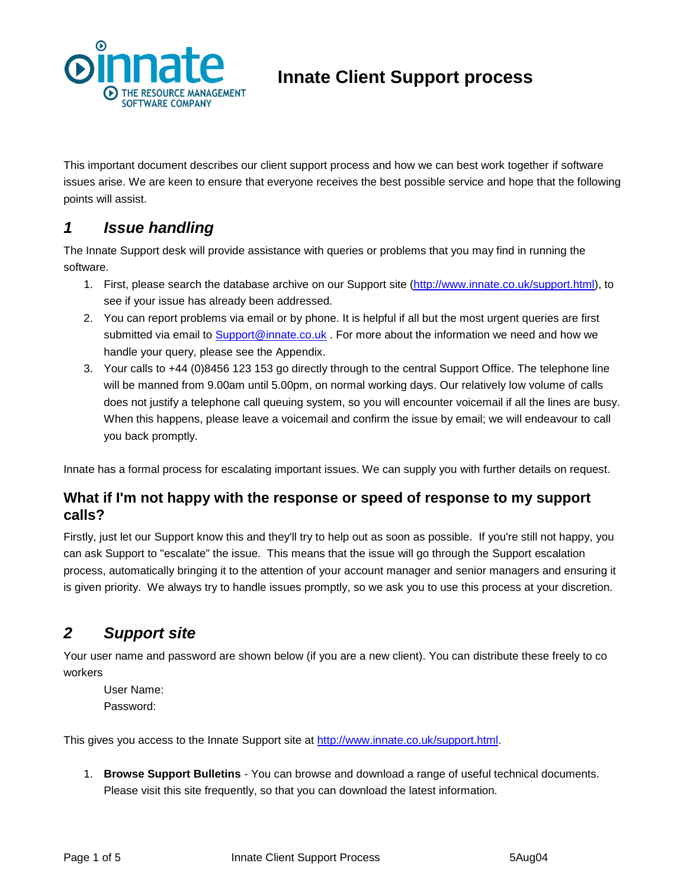

# **Innate Client Support process**

This important document describes our client support process and how we can best work together if software issues arise. We are keen to ensure that everyone receives the best possible service and hope that the following points will assist.

# *1 Issue handling*

The Innate Support desk will provide assistance with queries or problems that you may find in running the software.

- 1. First, please search the database archive on our Support site [\(http://www.innate.co.uk/support.html\)](http://www.innate.co.uk/support.html), to see if your issue has already been addressed.
- 2. You can report problems via email or by phone. It is helpful if all but the most urgent queries are first submitted via email to **Support@innate.co.uk** . For more about the information we need and how we handle your query, please see the Appendix.
- 3. Your calls to +44 (0)8456 123 153 go directly through to the central Support Office. The telephone line will be manned from 9.00am until 5.00pm, on normal working days. Our relatively low volume of calls does not justify a telephone call queuing system, so you will encounter voicemail if all the lines are busy. When this happens, please leave a voicemail and confirm the issue by email; we will endeavour to call you back promptly.

Innate has a formal process for escalating important issues. We can supply you with further details on request.

#### **What if I'm not happy with the response or speed of response to my support calls?**

Firstly, just let our Support know this and they'll try to help out as soon as possible. If you're still not happy, you can ask Support to "escalate" the issue. This means that the issue will go through the Support escalation process, automatically bringing it to the attention of your account manager and senior managers and ensuring it is given priority. We always try to handle issues promptly, so we ask you to use this process at your discretion.

# *2 Support site*

Your user name and password are shown below (if you are a new client). You can distribute these freely to co workers

User Name: Password:

This gives you access to the Innate Support site at [http://www.innate.co.uk/support.html.](http://www.innate.co.uk/support.html)

1. **Browse Support Bulletins** - You can browse and download a range of useful technical documents. Please visit this site frequently, so that you can download the latest information.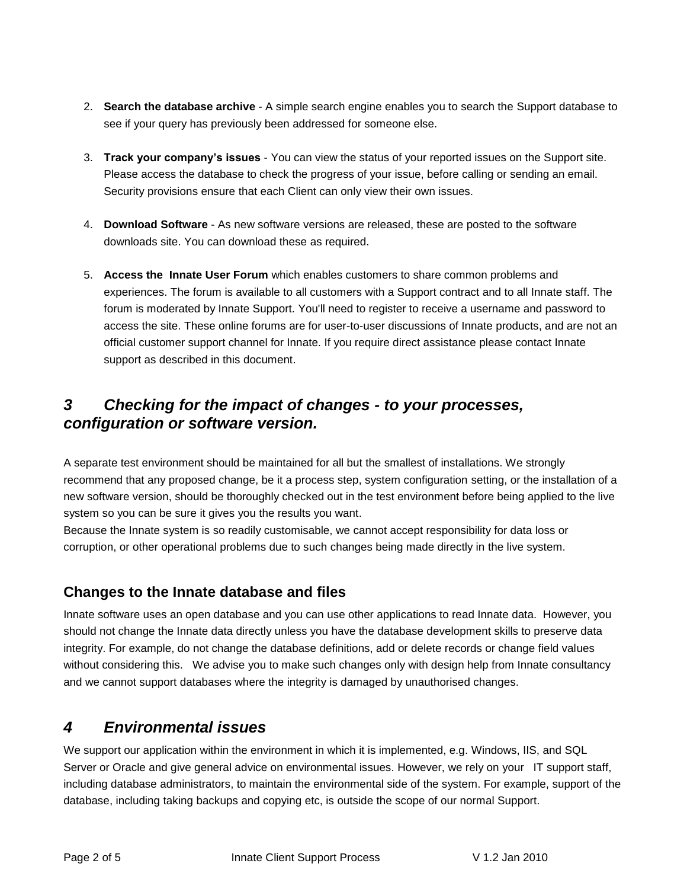- 2. **Search the database archive** A simple search engine enables you to search the Support database to see if your query has previously been addressed for someone else.
- 3. **Track your company's issues** You can view the status of your reported issues on the Support site. Please access the database to check the progress of your issue, before calling or sending an email. Security provisions ensure that each Client can only view their own issues.
- 4. **Download Software** As new software versions are released, these are posted to the software downloads site. You can download these as required.
- 5. **Access the Innate User Forum** which enables customers to share common problems and experiences. The forum is available to all customers with a Support contract and to all Innate staff. The forum is moderated by Innate Support. You'll need to register to receive a username and password to access the site. These online forums are for user-to-user discussions of Innate products, and are not an official customer support channel for Innate. If you require direct assistance please contact Innate support as described in this document.

# *3 Checking for the impact of changes - to your processes, configuration or software version.*

A separate test environment should be maintained for all but the smallest of installations. We strongly recommend that any proposed change, be it a process step, system configuration setting, or the installation of a new software version, should be thoroughly checked out in the test environment before being applied to the live system so you can be sure it gives you the results you want.

Because the Innate system is so readily customisable, we cannot accept responsibility for data loss or corruption, or other operational problems due to such changes being made directly in the live system.

### **Changes to the Innate database and files**

Innate software uses an open database and you can use other applications to read Innate data. However, you should not change the Innate data directly unless you have the database development skills to preserve data integrity. For example, do not change the database definitions, add or delete records or change field values without considering this. We advise you to make such changes only with design help from Innate consultancy and we cannot support databases where the integrity is damaged by unauthorised changes.

## *4 Environmental issues*

We support our application within the environment in which it is implemented, e.g. Windows, IIS, and SQL Server or Oracle and give general advice on environmental issues. However, we rely on your IT support staff, including database administrators, to maintain the environmental side of the system. For example, support of the database, including taking backups and copying etc, is outside the scope of our normal Support.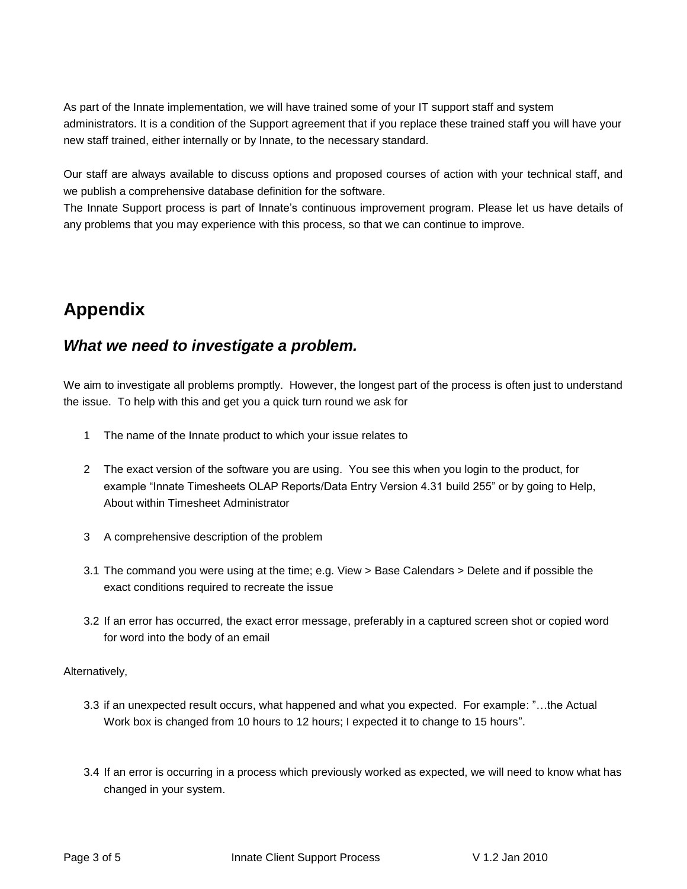As part of the Innate implementation, we will have trained some of your IT support staff and system administrators. It is a condition of the Support agreement that if you replace these trained staff you will have your new staff trained, either internally or by Innate, to the necessary standard.

Our staff are always available to discuss options and proposed courses of action with your technical staff, and we publish a comprehensive database definition for the software.

The Innate Support process is part of Innate's continuous improvement program. Please let us have details of any problems that you may experience with this process, so that we can continue to improve.

# **Appendix**

### *What we need to investigate a problem.*

We aim to investigate all problems promptly. However, the longest part of the process is often just to understand the issue. To help with this and get you a quick turn round we ask for

- 1 The name of the Innate product to which your issue relates to
- 2 The exact version of the software you are using. You see this when you login to the product, for example "Innate Timesheets OLAP Reports/Data Entry Version 4.31 build 255" or by going to Help, About within Timesheet Administrator
- 3 A comprehensive description of the problem
- 3.1 The command you were using at the time; e.g. View > Base Calendars > Delete and if possible the exact conditions required to recreate the issue
- 3.2 If an error has occurred, the exact error message, preferably in a captured screen shot or copied word for word into the body of an email

Alternatively,

- 3.3 if an unexpected result occurs, what happened and what you expected. For example: "…the Actual Work box is changed from 10 hours to 12 hours; I expected it to change to 15 hours".
- 3.4 If an error is occurring in a process which previously worked as expected, we will need to know what has changed in your system.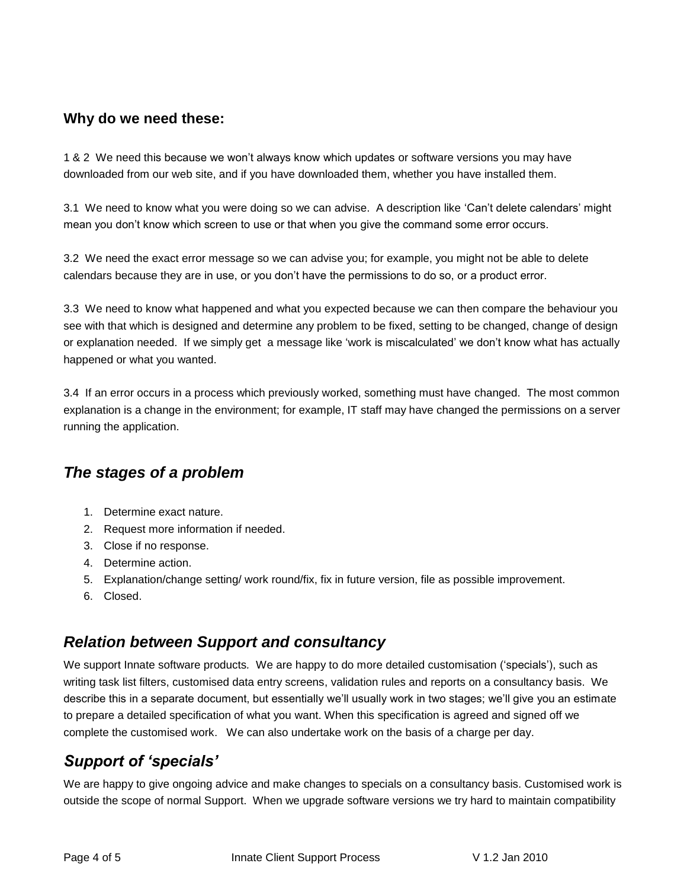#### **Why do we need these:**

1 & 2 We need this because we won't always know which updates or software versions you may have downloaded from our web site, and if you have downloaded them, whether you have installed them.

3.1 We need to know what you were doing so we can advise. A description like 'Can't delete calendars' might mean you don't know which screen to use or that when you give the command some error occurs.

3.2 We need the exact error message so we can advise you; for example, you might not be able to delete calendars because they are in use, or you don't have the permissions to do so, or a product error.

3.3 We need to know what happened and what you expected because we can then compare the behaviour you see with that which is designed and determine any problem to be fixed, setting to be changed, change of design or explanation needed. If we simply get a message like 'work is miscalculated' we don't know what has actually happened or what you wanted.

3.4 If an error occurs in a process which previously worked, something must have changed. The most common explanation is a change in the environment; for example, IT staff may have changed the permissions on a server running the application.

## *The stages of a problem*

- 1. Determine exact nature.
- 2. Request more information if needed.
- 3. Close if no response.
- 4. Determine action.
- 5. Explanation/change setting/ work round/fix, fix in future version, file as possible improvement.
- 6. Closed.

## *Relation between Support and consultancy*

We support Innate software products*.* We are happy to do more detailed customisation ('specials'), such as writing task list filters, customised data entry screens, validation rules and reports on a consultancy basis. We describe this in a separate document, but essentially we'll usually work in two stages; we'll give you an estimate to prepare a detailed specification of what you want. When this specification is agreed and signed off we complete the customised work. We can also undertake work on the basis of a charge per day.

# *Support of 'specials'*

We are happy to give ongoing advice and make changes to specials on a consultancy basis. Customised work is outside the scope of normal Support. When we upgrade software versions we try hard to maintain compatibility